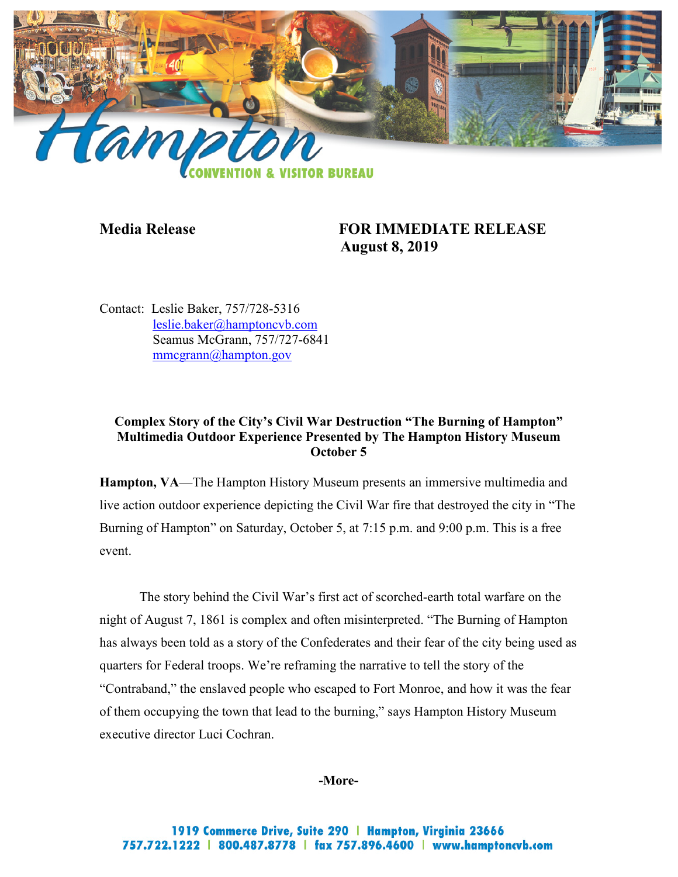

# **Media Release FOR IMMEDIATE RELEASE August 8, 2019**

Contact: Leslie Baker, 757/728-5316 [leslie.baker@hamptoncvb.com](mailto:leslie.baker@hamptoncvb.com) Seamus McGrann, 757/727-6841 [mmcgrann@hampton.gov](mailto:mmcgrann@hampton.gov)

# **Complex Story of the City's Civil War Destruction "The Burning of Hampton" Multimedia Outdoor Experience Presented by The Hampton History Museum October 5**

**Hampton, VA**—The Hampton History Museum presents an immersive multimedia and live action outdoor experience depicting the Civil War fire that destroyed the city in "The Burning of Hampton" on Saturday, October 5, at 7:15 p.m. and 9:00 p.m. This is a free event.

The story behind the Civil War's first act of scorched-earth total warfare on the night of August 7, 1861 is complex and often misinterpreted. "The Burning of Hampton has always been told as a story of the Confederates and their fear of the city being used as quarters for Federal troops. We're reframing the narrative to tell the story of the "Contraband," the enslaved people who escaped to Fort Monroe, and how it was the fear of them occupying the town that lead to the burning," says Hampton History Museum executive director Luci Cochran.

**-More-**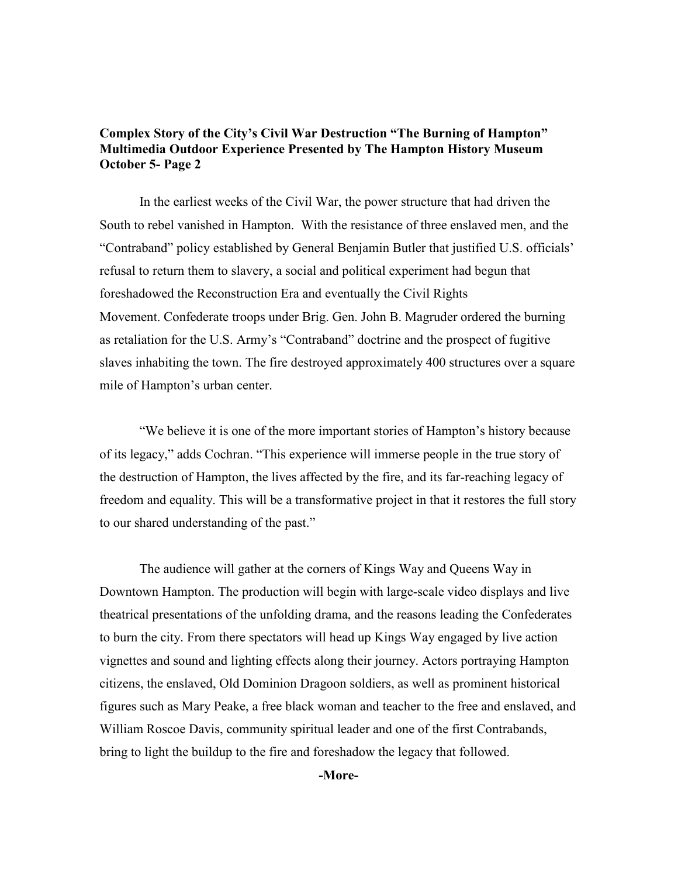## **Complex Story of the City's Civil War Destruction "The Burning of Hampton" Multimedia Outdoor Experience Presented by The Hampton History Museum October 5- Page 2**

In the earliest weeks of the Civil War, the power structure that had driven the South to rebel vanished in Hampton. With the resistance of three enslaved men, and the "Contraband" policy established by General Benjamin Butler that justified U.S. officials' refusal to return them to slavery, a social and political experiment had begun that foreshadowed the Reconstruction Era and eventually the Civil Rights Movement. Confederate troops under Brig. Gen. John B. Magruder ordered the burning as retaliation for the U.S. Army's "Contraband" doctrine and the prospect of fugitive slaves inhabiting the town. The fire destroyed approximately 400 structures over a square mile of Hampton's urban center.

"We believe it is one of the more important stories of Hampton's history because of its legacy," adds Cochran. "This experience will immerse people in the true story of the destruction of Hampton, the lives affected by the fire, and its far-reaching legacy of freedom and equality. This will be a transformative project in that it restores the full story to our shared understanding of the past."

The audience will gather at the corners of Kings Way and Queens Way in Downtown Hampton. The production will begin with large-scale video displays and live theatrical presentations of the unfolding drama, and the reasons leading the Confederates to burn the city. From there spectators will head up Kings Way engaged by live action vignettes and sound and lighting effects along their journey. Actors portraying Hampton citizens, the enslaved, Old Dominion Dragoon soldiers, as well as prominent historical figures such as Mary Peake, a free black woman and teacher to the free and enslaved, and William Roscoe Davis, community spiritual leader and one of the first Contrabands, bring to light the buildup to the fire and foreshadow the legacy that followed.

#### **-More-**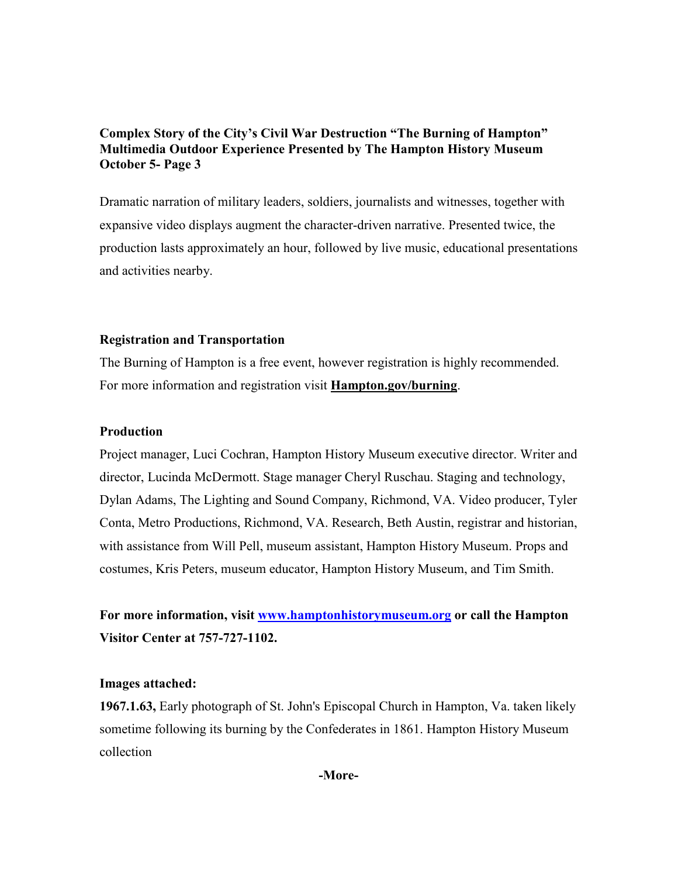## **Complex Story of the City's Civil War Destruction "The Burning of Hampton" Multimedia Outdoor Experience Presented by The Hampton History Museum October 5- Page 3**

Dramatic narration of military leaders, soldiers, journalists and witnesses, together with expansive video displays augment the character-driven narrative. Presented twice, the production lasts approximately an hour, followed by live music, educational presentations and activities nearby.

### **Registration and Transportation**

The Burning of Hampton is a free event, however registration is highly recommended. For more information and registration visit **Hampton.gov/burning**.

### **Production**

Project manager, Luci Cochran, Hampton History Museum executive director. Writer and director, Lucinda McDermott. Stage manager Cheryl Ruschau. Staging and technology, Dylan Adams, The Lighting and Sound Company, Richmond, VA. Video producer, Tyler Conta, Metro Productions, Richmond, VA. Research, Beth Austin, registrar and historian, with assistance from Will Pell, museum assistant, Hampton History Museum. Props and costumes, Kris Peters, museum educator, Hampton History Museum, and Tim Smith.

**For more information, visit [www.hamptonhistorymuseum.org](http://www.hamptonhistorymuseum.org/) or call the Hampton Visitor Center at 757-727-1102.**

#### **Images attached:**

**1967.1.63,** Early photograph of St. John's Episcopal Church in Hampton, Va. taken likely sometime following its burning by the Confederates in 1861. Hampton History Museum collection

**-More-**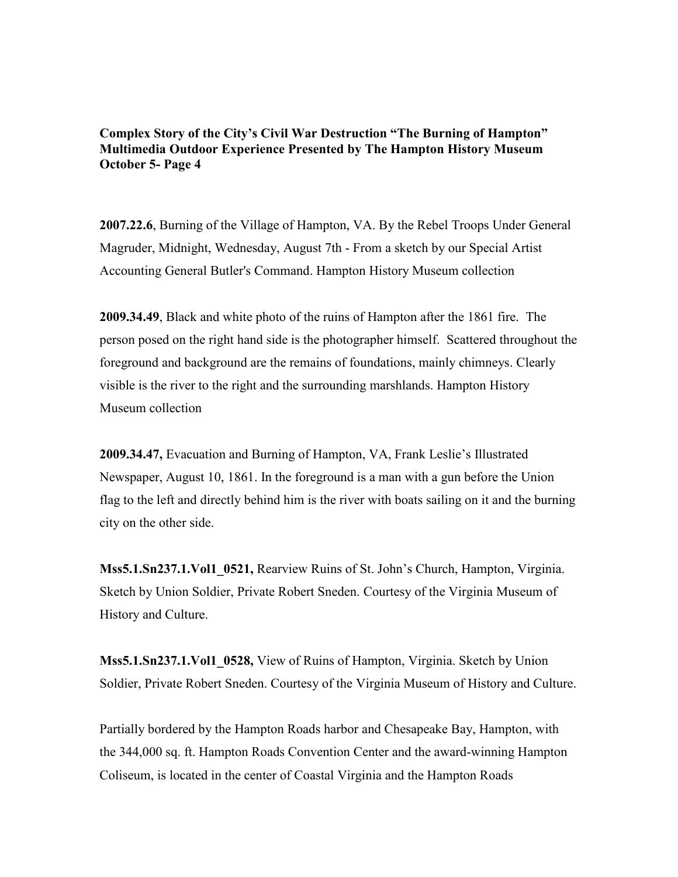**Complex Story of the City's Civil War Destruction "The Burning of Hampton" Multimedia Outdoor Experience Presented by The Hampton History Museum October 5- Page 4**

**2007.22.6**, Burning of the Village of Hampton, VA. By the Rebel Troops Under General Magruder, Midnight, Wednesday, August 7th - From a sketch by our Special Artist Accounting General Butler's Command. Hampton History Museum collection

**2009.34.49**, Black and white photo of the ruins of Hampton after the 1861 fire. The person posed on the right hand side is the photographer himself. Scattered throughout the foreground and background are the remains of foundations, mainly chimneys. Clearly visible is the river to the right and the surrounding marshlands. Hampton History Museum collection

**2009.34.47,** Evacuation and Burning of Hampton, VA, Frank Leslie's Illustrated Newspaper, August 10, 1861. In the foreground is a man with a gun before the Union flag to the left and directly behind him is the river with boats sailing on it and the burning city on the other side.

**Mss5.1.Sn237.1.Vol1\_0521,** Rearview Ruins of St. John's Church, Hampton, Virginia. Sketch by Union Soldier, Private Robert Sneden. Courtesy of the Virginia Museum of History and Culture.

**Mss5.1.Sn237.1.Vol1\_0528,** View of Ruins of Hampton, Virginia. Sketch by Union Soldier, Private Robert Sneden. Courtesy of the Virginia Museum of History and Culture.

Partially bordered by the Hampton Roads harbor and Chesapeake Bay, Hampton, with the 344,000 sq. ft. Hampton Roads Convention Center and the award-winning Hampton Coliseum, is located in the center of Coastal Virginia and the Hampton Roads